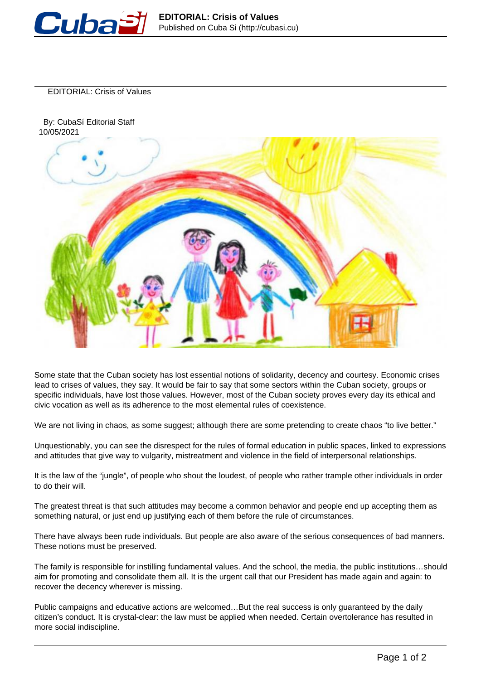

EDITORIAL: Crisis of Values

 By: CubaSí Editorial Staff 10/05/2021



Some state that the Cuban society has lost essential notions of solidarity, decency and courtesy. Economic crises lead to crises of values, they say. It would be fair to say that some sectors within the Cuban society, groups or specific individuals, have lost those values. However, most of the Cuban society proves every day its ethical and civic vocation as well as its adherence to the most elemental rules of coexistence.

We are not living in chaos, as some suggest; although there are some pretending to create chaos "to live better."

Unquestionably, you can see the disrespect for the rules of formal education in public spaces, linked to expressions and attitudes that give way to vulgarity, mistreatment and violence in the field of interpersonal relationships.

It is the law of the "jungle", of people who shout the loudest, of people who rather trample other individuals in order to do their will.

The greatest threat is that such attitudes may become a common behavior and people end up accepting them as something natural, or just end up justifying each of them before the rule of circumstances.

There have always been rude individuals. But people are also aware of the serious consequences of bad manners. These notions must be preserved.

The family is responsible for instilling fundamental values. And the school, the media, the public institutions…should aim for promoting and consolidate them all. It is the urgent call that our President has made again and again: to recover the decency wherever is missing.

Public campaigns and educative actions are welcomed…But the real success is only guaranteed by the daily citizen's conduct. It is crystal-clear: the law must be applied when needed. Certain overtolerance has resulted in more social indiscipline.